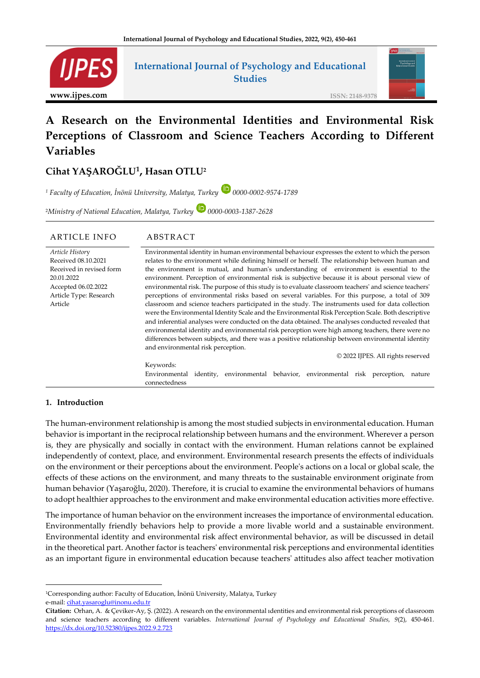

**Variables** 

# **International Journal of Psychology and Educational Studies**



**ISSN: 2148-9378**

# **A Research on the Environmental Identities and Environmental Risk Perceptions of Classroom and Science Teachers According to Different**

# **Cihat YAŞAROĞLU<sup>1</sup> , Hasan OTLU<sup>2</sup>**

*<sup>1</sup> Faculty of Education, İnönü University, Malatya, Turkey 0000-0002-9574-1789*

<sup>2</sup>Ministry of National Education, Malatya, Turkey **D** 0000-0003-1387-2628

| <b>ARTICLE INFO</b>      | ABSTRACT                                                                                               |  |  |  |  |
|--------------------------|--------------------------------------------------------------------------------------------------------|--|--|--|--|
| Article History          | Environmental identity in human environmental behaviour expresses the extent to which the person       |  |  |  |  |
| Received 08.10.2021      | relates to the environment while defining himself or herself. The relationship between human and       |  |  |  |  |
| Received in revised form | the environment is mutual, and human's understanding of environment is essential to the                |  |  |  |  |
| 20.01.2022               | environment. Perception of environmental risk is subjective because it is about personal view of       |  |  |  |  |
| Accepted 06.02.2022      | environmental risk. The purpose of this study is to evaluate classroom teachers' and science teachers' |  |  |  |  |
| Article Type: Research   | perceptions of environmental risks based on several variables. For this purpose, a total of 309        |  |  |  |  |
| Article                  | classroom and science teachers participated in the study. The instruments used for data collection     |  |  |  |  |
|                          | were the Environmental Identity Scale and the Environmental Risk Perception Scale. Both descriptive    |  |  |  |  |
|                          | and inferential analyses were conducted on the data obtained. The analyses conducted revealed that     |  |  |  |  |
|                          | environmental identity and environmental risk perception were high among teachers, there were no       |  |  |  |  |
|                          | differences between subjects, and there was a positive relationship between environmental identity     |  |  |  |  |
|                          | and environmental risk perception.                                                                     |  |  |  |  |
|                          | © 2022 IJPES. All rights reserved                                                                      |  |  |  |  |
|                          | Keywords:                                                                                              |  |  |  |  |
|                          | identity, environmental behavior, environmental risk perception,<br>Environmental<br>nature            |  |  |  |  |
|                          | connectedness                                                                                          |  |  |  |  |

## **1. Introduction**

The human-environment relationship is among the most studied subjects in environmental education. Human behavior is important in the reciprocal relationship between humans and the environment. Wherever a person is, they are physically and socially in contact with the environment. Human relations cannot be explained independently of context, place, and environment. Environmental research presents the effects of individuals on the environment or their perceptions about the environment. People's actions on a local or global scale, the effects of these actions on the environment, and many threats to the sustainable environment originate from human behavior (Yaşaroğlu, 2020). Therefore, it is crucial to examine the environmental behaviors of humans to adopt healthier approaches to the environment and make environmental education activities more effective.

The importance of human behavior on the environment increases the importance of environmental education. Environmentally friendly behaviors help to provide a more livable world and a sustainable environment. Environmental identity and environmental risk affect environmental behavior, as will be discussed in detail in the theoretical part. Another factor is teachers' environmental risk perceptions and environmental identities as an important figure in environmental education because teachers' attitudes also affect teacher motivation

<sup>1</sup>Corresponding author: Faculty of Education, İnönü University, Malatya, Turkey e-mail: [cihat.yasaroglu@inonu.edu.tr](mailto:cihat.yasaroglu@inonu.edu.tr)

**Citation:** Orhan, A. & Çeviker-Ay, Ş. (2022). A research on the environmental ıdentities and environmental risk perceptions of classroom and science teachers according to different variables. *International Journal of Psychology and Educational Studies, 9*(2), 450-461. <https://dx.doi.org/10.52380/ijpes.2022.9.2.723>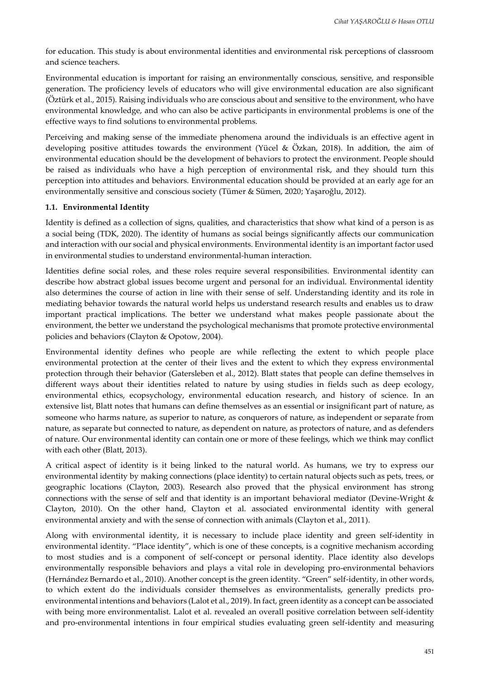for education. This study is about environmental identities and environmental risk perceptions of classroom and science teachers.

Environmental education is important for raising an environmentally conscious, sensitive, and responsible generation. The proficiency levels of educators who will give environmental education are also significant (Öztürk et al., 2015). Raising individuals who are conscious about and sensitive to the environment, who have environmental knowledge, and who can also be active participants in environmental problems is one of the effective ways to find solutions to environmental problems.

Perceiving and making sense of the immediate phenomena around the individuals is an effective agent in developing positive attitudes towards the environment (Yücel & Özkan, 2018). In addition, the aim of environmental education should be the development of behaviors to protect the environment. People should be raised as individuals who have a high perception of environmental risk, and they should turn this perception into attitudes and behaviors. Environmental education should be provided at an early age for an environmentally sensitive and conscious society (Tümer & Sümen, 2020; Yaşaroğlu, 2012).

#### **1.1. Environmental Identity**

Identity is defined as a collection of signs, qualities, and characteristics that show what kind of a person is as a social being (TDK, 2020). The identity of humans as social beings significantly affects our communication and interaction with our social and physical environments. Environmental identity is an important factor used in environmental studies to understand environmental-human interaction.

Identities define social roles, and these roles require several responsibilities. Environmental identity can describe how abstract global issues become urgent and personal for an individual. Environmental identity also determines the course of action in line with their sense of self. Understanding identity and its role in mediating behavior towards the natural world helps us understand research results and enables us to draw important practical implications. The better we understand what makes people passionate about the environment, the better we understand the psychological mechanisms that promote protective environmental policies and behaviors (Clayton & Opotow, 2004).

Environmental identity defines who people are while reflecting the extent to which people place environmental protection at the center of their lives and the extent to which they express environmental protection through their behavior (Gatersleben et al., 2012). Blatt states that people can define themselves in different ways about their identities related to nature by using studies in fields such as deep ecology, environmental ethics, ecopsychology, environmental education research, and history of science. In an extensive list, Blatt notes that humans can define themselves as an essential or insignificant part of nature, as someone who harms nature, as superior to nature, as conquerors of nature, as independent or separate from nature, as separate but connected to nature, as dependent on nature, as protectors of nature, and as defenders of nature. Our environmental identity can contain one or more of these feelings, which we think may conflict with each other (Blatt, 2013).

A critical aspect of identity is it being linked to the natural world. As humans, we try to express our environmental identity by making connections (place identity) to certain natural objects such as pets, trees, or geographic locations (Clayton, 2003). Research also proved that the physical environment has strong connections with the sense of self and that identity is an important behavioral mediator (Devine-Wright & Clayton, 2010). On the other hand, Clayton et al. associated environmental identity with general environmental anxiety and with the sense of connection with animals (Clayton et al., 2011).

Along with environmental identity, it is necessary to include place identity and green self-identity in environmental identity. "Place identity", which is one of these concepts, is a cognitive mechanism according to most studies and is a component of self-concept or personal identity. Place identity also develops environmentally responsible behaviors and plays a vital role in developing pro-environmental behaviors (Hernández Bernardo et al., 2010). Another concept is the green identity. "Green" self-identity, in other words, to which extent do the individuals consider themselves as environmentalists, generally predicts proenvironmental intentions and behaviors (Lalot et al., 2019). In fact, green identity as a concept can be associated with being more environmentalist. Lalot et al. revealed an overall positive correlation between self-identity and pro-environmental intentions in four empirical studies evaluating green self-identity and measuring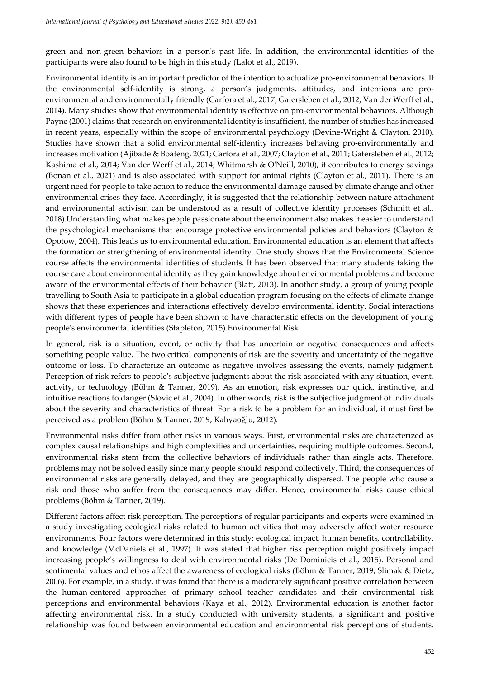green and non-green behaviors in a person's past life. In addition, the environmental identities of the participants were also found to be high in this study (Lalot et al., 2019).

Environmental identity is an important predictor of the intention to actualize pro-environmental behaviors. If the environmental self-identity is strong, a person's judgments, attitudes, and intentions are proenvironmental and environmentally friendly (Carfora et al., 2017; Gatersleben et al., 2012; Van der Werff et al., 2014). Many studies show that environmental identity is effective on pro-environmental behaviors. Although Payne (2001) claims that research on environmental identity is insufficient, the number of studies has increased in recent years, especially within the scope of environmental psychology (Devine-Wright & Clayton, 2010). Studies have shown that a solid environmental self-identity increases behaving pro-environmentally and increases motivation (Ajibade & Boateng, 2021; Carfora et al., 2007; Clayton et al., 2011; Gatersleben et al., 2012; Kashima et al., 2014; Van der Werff et al., 2014; Whitmarsh & O'Neill, 2010), it contributes to energy savings (Bonan et al., 2021) and is also associated with support for animal rights (Clayton et al., 2011). There is an urgent need for people to take action to reduce the environmental damage caused by climate change and other environmental crises they face. Accordingly, it is suggested that the relationship between nature attachment and environmental activism can be understood as a result of collective identity processes (Schmitt et al., 2018).Understanding what makes people passionate about the environment also makes it easier to understand the psychological mechanisms that encourage protective environmental policies and behaviors (Clayton & Opotow, 2004). This leads us to environmental education. Environmental education is an element that affects the formation or strengthening of environmental identity. One study shows that the Environmental Science course affects the environmental identities of students. It has been observed that many students taking the course care about environmental identity as they gain knowledge about environmental problems and become aware of the environmental effects of their behavior (Blatt, 2013). In another study, a group of young people travelling to South Asia to participate in a global education program focusing on the effects of climate change shows that these experiences and interactions effectively develop environmental identity. Social interactions with different types of people have been shown to have characteristic effects on the development of young people's environmental identities (Stapleton, 2015).Environmental Risk

In general, risk is a situation, event, or activity that has uncertain or negative consequences and affects something people value. The two critical components of risk are the severity and uncertainty of the negative outcome or loss. To characterize an outcome as negative involves assessing the events, namely judgment. Perception of risk refers to people's subjective judgments about the risk associated with any situation, event, activity, or technology (Böhm & Tanner, 2019). As an emotion, risk expresses our quick, instinctive, and intuitive reactions to danger (Slovic et al., 2004). In other words, risk is the subjective judgment of individuals about the severity and characteristics of threat. For a risk to be a problem for an individual, it must first be perceived as a problem (Böhm & Tanner, 2019; Kahyaoğlu, 2012).

Environmental risks differ from other risks in various ways. First, environmental risks are characterized as complex causal relationships and high complexities and uncertainties, requiring multiple outcomes. Second, environmental risks stem from the collective behaviors of individuals rather than single acts. Therefore, problems may not be solved easily since many people should respond collectively. Third, the consequences of environmental risks are generally delayed, and they are geographically dispersed. The people who cause a risk and those who suffer from the consequences may differ. Hence, environmental risks cause ethical problems (Böhm & Tanner, 2019).

Different factors affect risk perception. The perceptions of regular participants and experts were examined in a study investigating ecological risks related to human activities that may adversely affect water resource environments. Four factors were determined in this study: ecological impact, human benefits, controllability, and knowledge (McDaniels et al., 1997). It was stated that higher risk perception might positively impact increasing people's willingness to deal with environmental risks (De Dominicis et al., 2015). Personal and sentimental values and ethos affect the awareness of ecological risks (Böhm & Tanner, 2019; Slimak & Dietz, 2006). For example, in a study, it was found that there is a moderately significant positive correlation between the human-centered approaches of primary school teacher candidates and their environmental risk perceptions and environmental behaviors (Kaya et al., 2012). Environmental education is another factor affecting environmental risk. In a study conducted with university students, a significant and positive relationship was found between environmental education and environmental risk perceptions of students.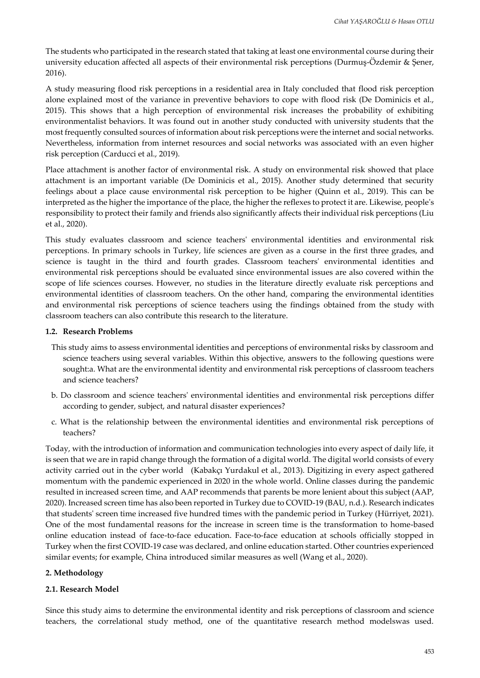The students who participated in the research stated that taking at least one environmental course during their university education affected all aspects of their environmental risk perceptions (Durmuş-Özdemir & Şener, 2016).

A study measuring flood risk perceptions in a residential area in Italy concluded that flood risk perception alone explained most of the variance in preventive behaviors to cope with flood risk (De Dominicis et al., 2015). This shows that a high perception of environmental risk increases the probability of exhibiting environmentalist behaviors. It was found out in another study conducted with university students that the most frequently consulted sources of information about risk perceptions were the internet and social networks. Nevertheless, information from internet resources and social networks was associated with an even higher risk perception (Carducci et al., 2019).

Place attachment is another factor of environmental risk. A study on environmental risk showed that place attachment is an important variable (De Dominicis et al., 2015). Another study determined that security feelings about a place cause environmental risk perception to be higher (Quinn et al., 2019). This can be interpreted as the higher the importance of the place, the higher the reflexes to protect it are. Likewise, people's responsibility to protect their family and friends also significantly affects their individual risk perceptions (Liu et al., 2020).

This study evaluates classroom and science teachers' environmental identities and environmental risk perceptions. In primary schools in Turkey, life sciences are given as a course in the first three grades, and science is taught in the third and fourth grades. Classroom teachers' environmental identities and environmental risk perceptions should be evaluated since environmental issues are also covered within the scope of life sciences courses. However, no studies in the literature directly evaluate risk perceptions and environmental identities of classroom teachers. On the other hand, comparing the environmental identities and environmental risk perceptions of science teachers using the findings obtained from the study with classroom teachers can also contribute this research to the literature.

#### **1.2. Research Problems**

- This study aims to assess environmental identities and perceptions of environmental risks by classroom and science teachers using several variables. Within this objective, answers to the following questions were sought:a. What are the environmental identity and environmental risk perceptions of classroom teachers and science teachers?
- b. Do classroom and science teachers' environmental identities and environmental risk perceptions differ according to gender, subject, and natural disaster experiences?
- c. What is the relationship between the environmental identities and environmental risk perceptions of teachers?

Today, with the introduction of information and communication technologies into every aspect of daily life, it is seen that we are in rapid change through the formation of a digital world. The digital world consists of every activity carried out in the cyber world (Kabakçı Yurdakul et al., 2013). Digitizing in every aspect gathered momentum with the pandemic experienced in 2020 in the whole world. Online classes during the pandemic resulted in increased screen time, and AAP recommends that parents be more lenient about this subject (AAP, 2020). Increased screen time has also been reported in Turkey due to COVID-19 (BAU, n.d.). Research indicates that students' screen time increased five hundred times with the pandemic period in Turkey (Hürriyet, 2021). One of the most fundamental reasons for the increase in screen time is the transformation to home-based online education instead of face-to-face education. Face-to-face education at schools officially stopped in Turkey when the first COVID-19 case was declared, and online education started. Other countries experienced similar events; for example, China introduced similar measures as well (Wang et al., 2020).

## **2. Methodology**

## **2.1. Research Model**

Since this study aims to determine the environmental identity and risk perceptions of classroom and science teachers, the correlational study method, one of the quantitative research method modelswas used.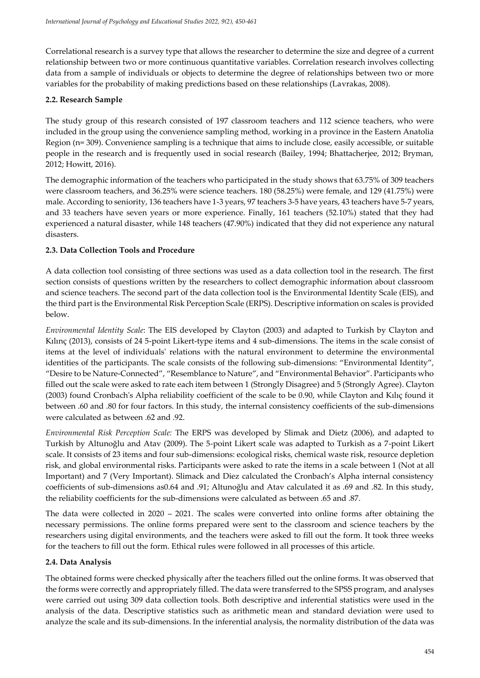Correlational research is a survey type that allows the researcher to determine the size and degree of a current relationship between two or more continuous quantitative variables. Correlation research involves collecting data from a sample of individuals or objects to determine the degree of relationships between two or more variables for the probability of making predictions based on these relationships (Lavrakas, 2008).

# **2.2. Research Sample**

The study group of this research consisted of 197 classroom teachers and 112 science teachers, who were included in the group using the convenience sampling method, working in a province in the Eastern Anatolia Region (n= 309). Convenience sampling is a technique that aims to include close, easily accessible, or suitable people in the research and is frequently used in social research (Bailey, 1994; Bhattacherjee, 2012; Bryman, 2012; Howitt, 2016).

The demographic information of the teachers who participated in the study shows that 63.75% of 309 teachers were classroom teachers, and 36.25% were science teachers. 180 (58.25%) were female, and 129 (41.75%) were male. According to seniority, 136 teachers have 1-3 years, 97 teachers 3-5 have years, 43 teachers have 5-7 years, and 33 teachers have seven years or more experience. Finally, 161 teachers (52.10%) stated that they had experienced a natural disaster, while 148 teachers (47.90%) indicated that they did not experience any natural disasters.

# **2.3. Data Collection Tools and Procedure**

A data collection tool consisting of three sections was used as a data collection tool in the research. The first section consists of questions written by the researchers to collect demographic information about classroom and science teachers. The second part of the data collection tool is the Environmental Identity Scale (EIS), and the third part is the Environmental Risk Perception Scale (ERPS). Descriptive information on scales is provided below.

*Environmental Identity Scale*: The EIS developed by Clayton (2003) and adapted to Turkish by Clayton and Kılınç (2013), consists of 24 5-point Likert-type items and 4 sub-dimensions. The items in the scale consist of items at the level of individuals' relations with the natural environment to determine the environmental identities of the participants. The scale consists of the following sub-dimensions: "Environmental Identity", "Desire to be Nature-Connected", "Resemblance to Nature", and "Environmental Behavior". Participants who filled out the scale were asked to rate each item between 1 (Strongly Disagree) and 5 (Strongly Agree). Clayton (2003) found Cronbach's Alpha reliability coefficient of the scale to be 0.90, while Clayton and Kılıç found it between .60 and .80 for four factors. In this study, the internal consistency coefficients of the sub-dimensions were calculated as between .62 and .92.

*Environmental Risk Perception Scale:* The ERPS was developed by Slimak and Dietz (2006), and adapted to Turkish by Altunoğlu and Atav (2009). The 5-point Likert scale was adapted to Turkish as a 7-point Likert scale. It consists of 23 items and four sub-dimensions: ecological risks, chemical waste risk, resource depletion risk, and global environmental risks. Participants were asked to rate the items in a scale between 1 (Not at all Important) and 7 (Very Important). Slimack and Diez calculated the Cronbach's Alpha internal consistency coefficients of sub-dimensions as0.64 and .91; Altunoğlu and Atav calculated it as .69 and .82. In this study, the reliability coefficients for the sub-dimensions were calculated as between .65 and .87.

The data were collected in 2020 – 2021. The scales were converted into online forms after obtaining the necessary permissions. The online forms prepared were sent to the classroom and science teachers by the researchers using digital environments, and the teachers were asked to fill out the form. It took three weeks for the teachers to fill out the form. Ethical rules were followed in all processes of this article.

# **2.4. Data Analysis**

The obtained forms were checked physically after the teachers filled out the online forms. It was observed that the forms were correctly and appropriately filled. The data were transferred to the SPSS program, and analyses were carried out using 309 data collection tools. Both descriptive and inferential statistics were used in the analysis of the data. Descriptive statistics such as arithmetic mean and standard deviation were used to analyze the scale and its sub-dimensions. In the inferential analysis, the normality distribution of the data was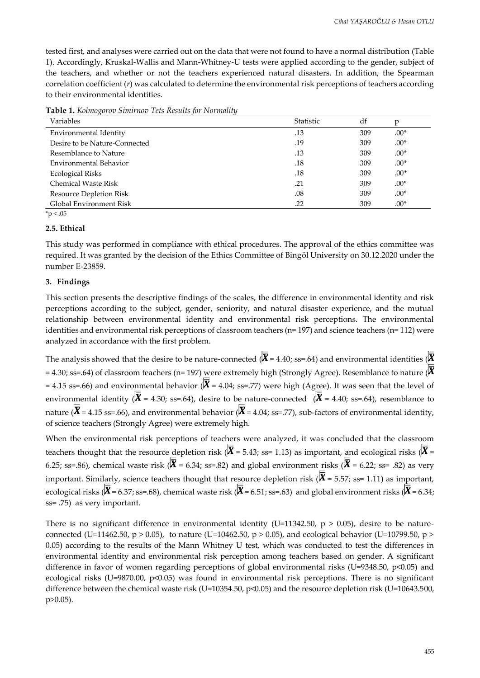tested first, and analyses were carried out on the data that were not found to have a normal distribution (Table 1). Accordingly, Kruskal-Wallis and Mann-Whitney-U tests were applied according to the gender, subject of the teachers, and whether or not the teachers experienced natural disasters. In addition, the Spearman correlation coefficient (*r*) was calculated to determine the environmental risk perceptions of teachers according to their environmental identities.

| Variables                      | Statistic | df  | r      |
|--------------------------------|-----------|-----|--------|
| Environmental Identity         | .13       | 309 | $.00*$ |
| Desire to be Nature-Connected  | .19       | 309 | $.00*$ |
| Resemblance to Nature          | .13       | 309 | $.00*$ |
| Environmental Behavior         | .18       | 309 | $.00*$ |
| <b>Ecological Risks</b>        | .18       | 309 | $.00*$ |
| <b>Chemical Waste Risk</b>     | .21       | 309 | $.00*$ |
| <b>Resource Depletion Risk</b> | .08       | 309 | $.00*$ |
| Global Environment Risk        | .22       | 309 | $.00*$ |

**Table 1.** *Kolmogorov Simirnov Tets Results for Normality* 

 $*_{p}$  < .05

#### **2.5. Ethical**

This study was performed in compliance with ethical procedures. The approval of the ethics committee was required. It was granted by the decision of the Ethics Committee of Bingöl University on 30.12.2020 under the number E-23859.

#### **3. Findings**

This section presents the descriptive findings of the scales, the difference in environmental identity and risk perceptions according to the subject, gender, seniority, and natural disaster experience, and the mutual relationship between environmental identity and environmental risk perceptions. The environmental identities and environmental risk perceptions of classroom teachers (n= 197) and science teachers (n= 112) were analyzed in accordance with the first problem.

The analysis showed that the desire to be nature-connected  $(\overline{\overline{X}} = 4.40; s = .64)$  and environmental identities  $(\overline{\overline{X}}$ = 4.30; ss=.64) of classroom teachers (n= 197) were extremely high (Strongly Agree). Resemblance to nature ( $\overline{X}$ = 4.15 ss=.66) and environmental behavior ( $\overline{X}$  = 4.04; ss=.77) were high (Agree). It was seen that the level of environmental identity ( $\overline{X}$  = 4.30; ss=.64), desire to be nature-connected ( $\overline{X}$  = 4.40; ss=.64), resemblance to nature ( $\overline{X}$  = 4.15 ss=.66), and environmental behavior ( $\overline{X}$  = 4.04; ss=.77), sub-factors of environmental identity, of science teachers (Strongly Agree) were extremely high.

When the environmental risk perceptions of teachers were analyzed, it was concluded that the classroom teachers thought that the resource depletion risk ( $\overline{X}$  = 5.43; ss= 1.13) as important, and ecological risks ( $\overline{X}$  = 6.25; ss=.86), chemical waste risk ( $\overline{\overline{X}}$  = 6.34; ss=.82) and global environment risks ( $\overline{\overline{X}}$  = 6.22; ss= .82) as very important. Similarly, science teachers thought that resource depletion risk ( $\overline{X}$  = 5.57; ss= 1.11) as important, ecological risks ( $\overline{\overline{X}}$  = 6.37; ss=.68), chemical waste risk ( $\overline{\overline{X}}$  = 6.51; ss=.63) and global environment risks ( $\overline{\overline{X}}$  = 6.34; ss= .75) as very important.

There is no significant difference in environmental identity (U=11342.50,  $p > 0.05$ ), desire to be natureconnected (U=11462.50, p > 0.05), to nature (U=10462.50, p > 0.05), and ecological behavior (U=10799.50, p > 0.05) according to the results of the Mann Whitney U test, which was conducted to test the differences in environmental identity and environmental risk perception among teachers based on gender. A significant difference in favor of women regarding perceptions of global environmental risks (U=9348.50, p<0.05) and ecological risks (U=9870.00, p<0.05) was found in environmental risk perceptions. There is no significant difference between the chemical waste risk (U=10354.50, p<0.05) and the resource depletion risk (U=10643.500, p>0.05).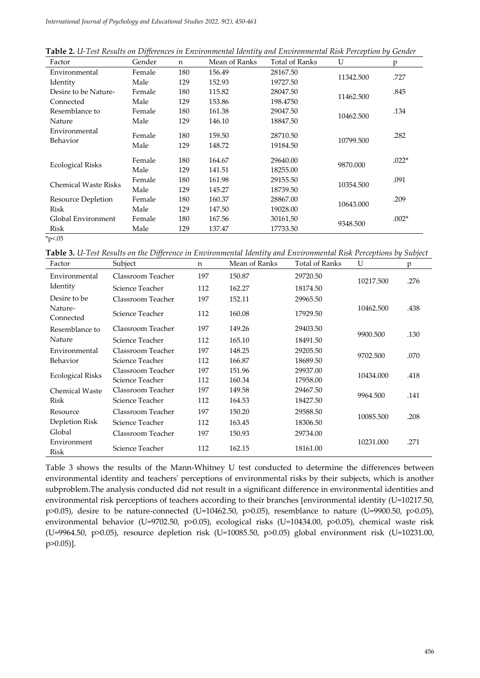|  | Table 2. U-Test Results on Differences in Environmental Identity and Environmental Risk Perception by Gender |  |
|--|--------------------------------------------------------------------------------------------------------------|--|
|  |                                                                                                              |  |

| Factor                      | Gender | n   | Mean of Ranks | <b>Total of Ranks</b> | U         | p       |
|-----------------------------|--------|-----|---------------|-----------------------|-----------|---------|
| Environmental               | Female | 180 | 156.49        | 28167.50              | 11342.500 | .727    |
| Identity                    | Male   | 129 | 152.93        | 19727.50              |           |         |
| Desire to be Nature-        | Female | 180 | 115.82        | 28047.50              | 11462.500 | .845    |
| Connected                   | Male   | 129 | 153.86        | 198.4750              |           |         |
| Resemblance to              | Female | 180 | 161.38        | 29047.50              | 10462.500 | .134    |
| Nature                      | Male   | 129 | 146.10        | 18847.50              |           |         |
| Environmental               | Female | 180 | 159.50        | 28710.50              |           | .282    |
| Behavior                    | Male   | 129 | 148.72        | 19184.50              | 10799.500 |         |
|                             | Female | 180 | 164.67        | 29640.00              | 9870.000  | $.022*$ |
| <b>Ecological Risks</b>     | Male   | 129 | 141.51        | 18255.00              |           |         |
| <b>Chemical Waste Risks</b> | Female | 180 | 161.98        | 29155.50              | 10354.500 | .091    |
|                             | Male   | 129 | 145.27        | 18739.50              |           |         |
| Resource Depletion          | Female | 180 | 160.37        | 28867.00              | 10643.000 | .209    |
| <b>Risk</b>                 | Male   | 129 | 147.50        | 19028.00              |           |         |
| Global Environment          | Female | 180 | 167.56        | 30161.50              |           | $.002*$ |
| Risk                        | Male   | 129 | 137.47        | 17733.50              | 9348.500  |         |
| $*p05$                      |        |     |               |                       |           |         |

**Table 3.** *U-Test Results on the Difference in Environmental Identity and Environmental Risk Perceptions by Subject*

| Factor                  | Subject           | n   | Mean of Ranks | <b>Total of Ranks</b> | U         | p    |
|-------------------------|-------------------|-----|---------------|-----------------------|-----------|------|
| Environmental           | Classroom Teacher | 197 | 150.87        | 29720.50              | 10217.500 | .276 |
| Identity                | Science Teacher   | 112 | 162.27        | 18174.50              |           |      |
| Desire to be            | Classroom Teacher | 197 | 152.11        | 29965.50              |           |      |
| Nature-<br>Connected    | Science Teacher   | 112 | 160.08        | 17929.50              | 10462.500 | .438 |
| Resemblance to          | Classroom Teacher | 197 | 149.26        | 29403.50              | 9900.500  | .130 |
| Nature                  | Science Teacher   | 112 | 165.10        | 18491.50              |           |      |
| Environmental           | Classroom Teacher | 197 | 148.25        | 29205.50              | 9702.500  | .070 |
| Behavior                | Science Teacher   | 112 | 166.87        | 18689.50              |           |      |
| <b>Ecological Risks</b> | Classroom Teacher | 197 | 151.96        | 29937.00              | 10434.000 | .418 |
|                         | Science Teacher   | 112 | 160.34        | 17958.00              |           |      |
| <b>Chemical Waste</b>   | Classroom Teacher | 197 | 149.58        | 29467.50              | 9964.500  |      |
| Risk                    | Science Teacher   | 112 | 164.53        | 18427.50              |           | .141 |
| Resource                | Classroom Teacher | 197 | 150.20        | 29588.50              | 10085.500 | .208 |
| Depletion Risk          | Science Teacher   | 112 | 163.45        | 18306.50              |           |      |
| Global                  | Classroom Teacher | 197 | 150.93        | 29734.00              |           |      |
| Environment<br>Risk     | Science Teacher   | 112 | 162.15        | 18161.00              | 10231.000 | .271 |

Table 3 shows the results of the Mann-Whitney U test conducted to determine the differences between environmental identity and teachers' perceptions of environmental risks by their subjects, which is another subproblem.The analysis conducted did not result in a significant difference in environmental identities and environmental risk perceptions of teachers according to their branches [environmental identity (U=10217.50, p>0.05), desire to be nature-connected (U=10462.50, p>0.05), resemblance to nature (U=9900.50, p>0.05), environmental behavior (U=9702.50, p>0.05), ecological risks (U=10434.00, p>0.05), chemical waste risk (U=9964.50, p>0.05), resource depletion risk (U=10085.50, p>0.05) global environment risk (U=10231.00, p>0.05)].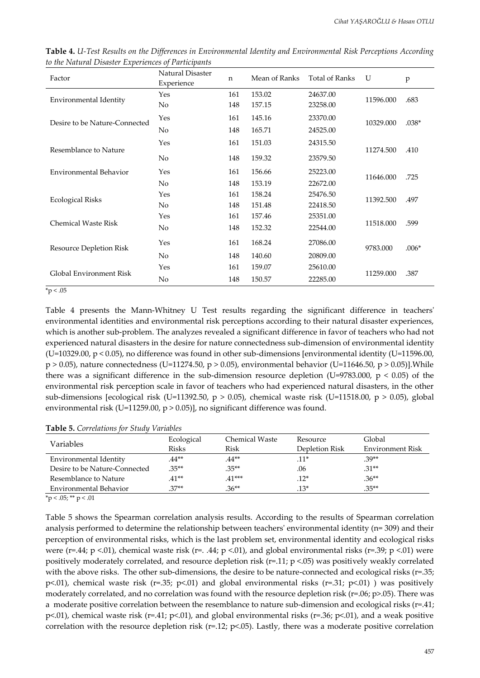| Factor                         | <b>Natural Disaster</b><br>Experience | n   | Mean of Ranks | <b>Total of Ranks</b> | U         | $\, {\bf p}$ |
|--------------------------------|---------------------------------------|-----|---------------|-----------------------|-----------|--------------|
| Environmental Identity         | Yes                                   | 161 | 153.02        | 24637.00              | 11596.000 | .683         |
|                                | No                                    | 148 | 157.15        | 23258.00              |           |              |
| Desire to be Nature-Connected  | Yes                                   | 161 | 145.16        | 23370.00              | 10329.000 | $.038*$      |
|                                | No                                    | 148 | 165.71        | 24525.00              |           |              |
| Resemblance to Nature          | Yes                                   | 161 | 151.03        | 24315.50              | 11274.500 | .410         |
|                                | No                                    | 148 | 159.32        | 23579.50              |           |              |
| <b>Environmental Behavior</b>  | Yes                                   | 161 | 156.66        | 25223.00              |           |              |
|                                | No                                    | 148 | 153.19        | 22672.00              | 11646.000 | .725         |
|                                | Yes                                   | 161 | 158.24        | 25476.50              |           |              |
| <b>Ecological Risks</b>        | No                                    | 148 | 151.48        | 22418.50              | 11392.500 | .497         |
|                                | Yes                                   | 161 | 157.46        | 25351.00              |           |              |
| <b>Chemical Waste Risk</b>     | No                                    | 148 | 152.32        | 22544.00              | 11518.000 | .599         |
| <b>Resource Depletion Risk</b> | Yes                                   | 161 | 168.24        | 27086.00              | 9783.000  | $.006*$      |
|                                | No                                    | 148 | 140.60        | 20809.00              |           |              |
|                                | Yes                                   | 161 | 159.07        | 25610.00              |           |              |
| Global Environment Risk        | No                                    | 148 | 150.57        | 22285.00              | 11259.000 | .387         |

**Table 4.** *U-Test Results on the Differences in Environmental Identity and Environmental Risk Perceptions According to the Natural Disaster Experiences of Participants* 

 $*_{p}$  < .05

Table 4 presents the Mann-Whitney U Test results regarding the significant difference in teachers' environmental identities and environmental risk perceptions according to their natural disaster experiences, which is another sub-problem. The analyzes revealed a significant difference in favor of teachers who had not experienced natural disasters in the desire for nature connectedness sub-dimension of environmental identity  $(U=10329.00, p < 0.05)$ , no difference was found in other sub-dimensions [environmental identity  $(U=11596.00, p < 0.05)$ ]  $p > 0.05$ ), nature connectedness (U=11274.50,  $p > 0.05$ ), environmental behavior (U=11646.50,  $p > 0.05$ )]. While there was a significant difference in the sub-dimension resource depletion (U=9783.000,  $p < 0.05$ ) of the environmental risk perception scale in favor of teachers who had experienced natural disasters, in the other sub-dimensions [ecological risk (U=11392.50,  $p > 0.05$ ), chemical waste risk (U=11518.00,  $p > 0.05$ ), global environmental risk (U=11259.00, p > 0.05)], no significant difference was found.

| Variables                     | Ecological | Chemical Waste | Resource       | Global           |
|-------------------------------|------------|----------------|----------------|------------------|
|                               | Risks      | Risk           | Depletion Risk | Environment Risk |
| Environmental Identity        | $.44**$    | $.44**$        | $.11*$         | $.39**$          |
| Desire to be Nature-Connected | $.35**$    | $.35**$        | .06            | $.31**$          |
| Resemblance to Nature         | $.41**$    | $.41***$       | $.12*$         | $.36**$          |
| Environmental Behavior        | $.37**$    | $.36**$        | $.13*$         | $.35**$          |

 $*$ p < .05;  $*$  $*$  p < .01

Table 5 shows the Spearman correlation analysis results. According to the results of Spearman correlation analysis performed to determine the relationship between teachers' environmental identity (n= 309) and their perception of environmental risks, which is the last problem set, environmental identity and ecological risks were (r=.44; p <.01), chemical waste risk (r=. .44; p <.01), and global environmental risks (r=.39; p <.01) were positively moderately correlated, and resource depletion risk ( $r=11$ ;  $p < 05$ ) was positively weakly correlated with the above risks. The other sub-dimensions, the desire to be nature-connected and ecological risks (r=.35; p<.01), chemical waste risk (r=.35; p<.01) and global environmental risks (r=.31; p<.01) ) was positively moderately correlated, and no correlation was found with the resource depletion risk (r=.06; p>.05). There was a moderate positive correlation between the resemblance to nature sub-dimension and ecological risks (r=.41; p<.01), chemical waste risk (r=.41; p<.01), and global environmental risks (r=.36; p<.01), and a weak positive correlation with the resource depletion risk ( $r=12$ ;  $p<05$ ). Lastly, there was a moderate positive correlation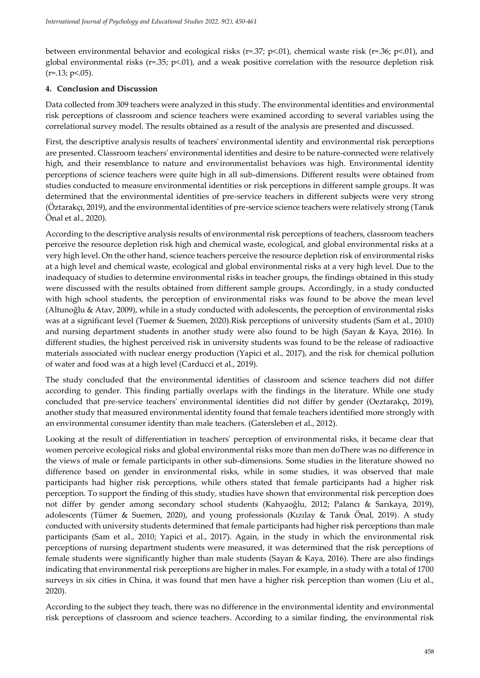between environmental behavior and ecological risks ( $r=0.37$ ;  $p<0.01$ ), chemical waste risk ( $r=0.36$ ;  $p<0.01$ ), and global environmental risks (r=.35;  $p<.01$ ), and a weak positive correlation with the resource depletion risk  $(r=.13; p<.05).$ 

#### **4. Conclusion and Discussion**

Data collected from 309 teachers were analyzed in this study. The environmental identities and environmental risk perceptions of classroom and science teachers were examined according to several variables using the correlational survey model. The results obtained as a result of the analysis are presented and discussed.

First, the descriptive analysis results of teachers' environmental identity and environmental risk perceptions are presented. Classroom teachers' environmental identities and desire to be nature-connected were relatively high, and their resemblance to nature and environmentalist behaviors was high. Environmental identity perceptions of science teachers were quite high in all sub-dimensions. Different results were obtained from studies conducted to measure environmental identities or risk perceptions in different sample groups. It was determined that the environmental identities of pre-service teachers in different subjects were very strong (Öztarakçı, 2019), and the environmental identities of pre-service science teachers were relatively strong (Tanık Önal et al., 2020).

According to the descriptive analysis results of environmental risk perceptions of teachers, classroom teachers perceive the resource depletion risk high and chemical waste, ecological, and global environmental risks at a very high level. On the other hand, science teachers perceive the resource depletion risk of environmental risks at a high level and chemical waste, ecological and global environmental risks at a very high level. Due to the inadequacy of studies to determine environmental risks in teacher groups, the findings obtained in this study were discussed with the results obtained from different sample groups. Accordingly, in a study conducted with high school students, the perception of environmental risks was found to be above the mean level (Altunoğlu & Atav, 2009), while in a study conducted with adolescents, the perception of environmental risks was at a significant level (Tuemer & Suemen, 2020).Risk perceptions of university students (Sam et al., 2010) and nursing department students in another study were also found to be high (Sayan & Kaya, 2016). In different studies, the highest perceived risk in university students was found to be the release of radioactive materials associated with nuclear energy production (Yapici et al., 2017), and the risk for chemical pollution of water and food was at a high level (Carducci et al., 2019).

The study concluded that the environmental identities of classroom and science teachers did not differ according to gender. This finding partially overlaps with the findings in the literature. While one study concluded that pre-service teachers' environmental identities did not differ by gender (Oeztarakçı, 2019), another study that measured environmental identity found that female teachers identified more strongly with an environmental consumer identity than male teachers. (Gatersleben et al., 2012).

Looking at the result of differentiation in teachers' perception of environmental risks, it became clear that women perceive ecological risks and global environmental risks more than men doThere was no difference in the views of male or female participants in other sub-dimensions. Some studies in the literature showed no difference based on gender in environmental risks, while in some studies, it was observed that male participants had higher risk perceptions, while others stated that female participants had a higher risk perception. To support the finding of this study, studies have shown that environmental risk perception does not differ by gender among secondary school students (Kahyaoğlu, 2012; Palancı & Sarıkaya, 2019), adolescents (Tümer & Suemen, 2020), and young professionals (Kızılay & Tanık Önal, 2019). A study conducted with university students determined that female participants had higher risk perceptions than male participants (Sam et al., 2010; Yapici et al., 2017). Again, in the study in which the environmental risk perceptions of nursing department students were measured, it was determined that the risk perceptions of female students were significantly higher than male students (Sayan & Kaya, 2016). There are also findings indicating that environmental risk perceptions are higher in males. For example, in a study with a total of 1700 surveys in six cities in China, it was found that men have a higher risk perception than women (Liu et al., 2020).

According to the subject they teach, there was no difference in the environmental identity and environmental risk perceptions of classroom and science teachers. According to a similar finding, the environmental risk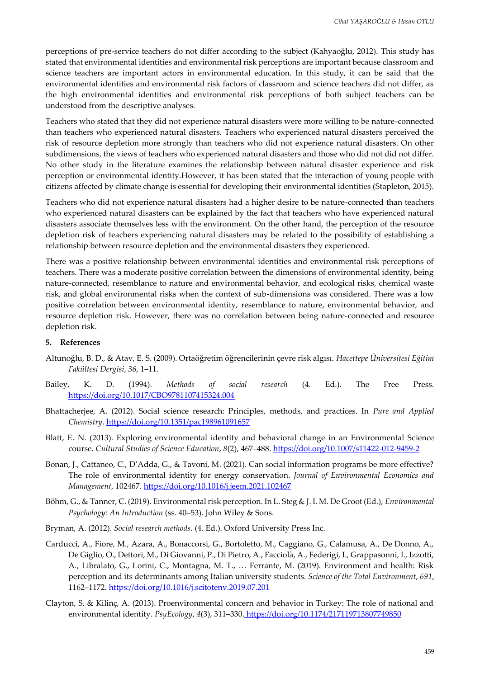perceptions of pre-service teachers do not differ according to the subject (Kahyaoğlu, 2012). This study has stated that environmental identities and environmental risk perceptions are important because classroom and science teachers are important actors in environmental education. In this study, it can be said that the environmental identities and environmental risk factors of classroom and science teachers did not differ, as the high environmental identities and environmental risk perceptions of both subject teachers can be understood from the descriptive analyses.

Teachers who stated that they did not experience natural disasters were more willing to be nature-connected than teachers who experienced natural disasters. Teachers who experienced natural disasters perceived the risk of resource depletion more strongly than teachers who did not experience natural disasters. On other subdimensions, the views of teachers who experienced natural disasters and those who did not did not differ. No other study in the literature examines the relationship between natural disaster experience and risk perception or environmental identity.However, it has been stated that the interaction of young people with citizens affected by climate change is essential for developing their environmental identities (Stapleton, 2015).

Teachers who did not experience natural disasters had a higher desire to be nature-connected than teachers who experienced natural disasters can be explained by the fact that teachers who have experienced natural disasters associate themselves less with the environment. On the other hand, the perception of the resource depletion risk of teachers experiencing natural disasters may be related to the possibility of establishing a relationship between resource depletion and the environmental disasters they experienced.

There was a positive relationship between environmental identities and environmental risk perceptions of teachers. There was a moderate positive correlation between the dimensions of environmental identity, being nature-connected, resemblance to nature and environmental behavior, and ecological risks, chemical waste risk, and global environmental risks when the context of sub-dimensions was considered. There was a low positive correlation between environmental identity, resemblance to nature, environmental behavior, and resource depletion risk. However, there was no correlation between being nature-connected and resource depletion risk.

#### **5. References**

- Altunoğlu, B. D., & Atav, E. S. (2009). Ortaöğretim öğrencilerinin çevre risk algısı. *Hacettepe Üniversitesi Eğitim Fakültesi Dergisi*, *36*, 1–11.
- Bailey, K. D. (1994). *Methods of social research* (4. Ed.). The Free Press. <https://doi.org/10.1017/CBO9781107415324.004>
- Bhattacherjee, A. (2012). Social science research: Principles, methods, and practices. In *Pure and Applied Chemistry*. https://doi.org/10.1351/pac198961091657
- Blatt, E. N. (2013). Exploring environmental identity and behavioral change in an Environmental Science course. *Cultural Studies of Science Education*, *8*(2), 467–488. https://doi.org/10.1007/s11422-012-9459-2
- Bonan, J., Cattaneo, C., D'Adda, G., & Tavoni, M. (2021). Can social information programs be more effective? The role of environmental identity for energy conservation. *Journal of Environmental Economics and Management*, 102467. https://doi.org/10.1016/j.jeem.2021.102467
- Böhm, G., & Tanner, C. (2019). Environmental risk perception. In L. Steg & J. I. M. De Groot (Ed.), *Environmental Psychology: An Introduction* (ss. 40–53). John Wiley & Sons.
- Bryman, A. (2012). *Social research methods.* (4. Ed.). Oxford University Press Inc.
- Carducci, A., Fiore, M., Azara, A., Bonaccorsi, G., Bortoletto, M., Caggiano, G., Calamusa, A., De Donno, A., De Giglio, O., Dettori, M., Di Giovanni, P., Di Pietro, A., Facciolà, A., Federigi, I., Grappasonni, I., Izzotti, A., Libralato, G., Lorini, C., Montagna, M. T., … Ferrante, M. (2019). Environment and health: Risk perception and its determinants among Italian university students. *Science of the Total Environment*, *691*, 1162–1172. https://doi.org/10.1016/j.scitotenv.2019.07.201
- Clayton, S. & Kilinç, A. (2013). Proenvironmental concern and behavior in Turkey: The role of national and environmental identity. *PsyEcology*, *4*(3), 311–330. https://doi.org/10.1174/217119713807749850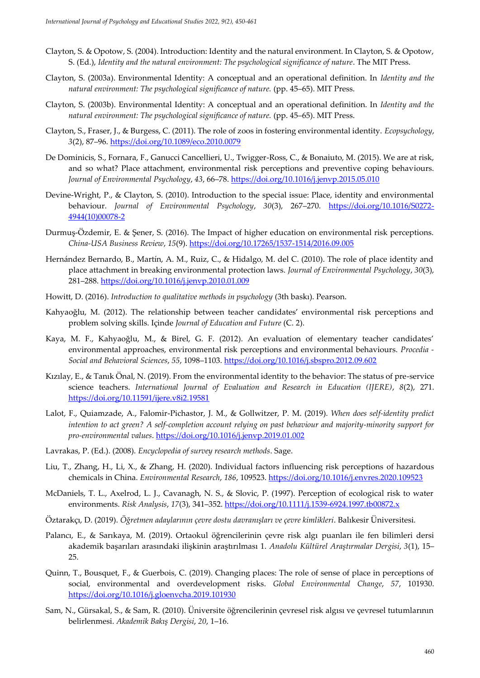- Clayton, S. & Opotow, S. (2004). Introduction: Identity and the natural environment. In Clayton, S. & Opotow, S. (Ed.), *Identity and the natural environment: The psychological significance of nature*. The MIT Press.
- Clayton, S. (2003a). Environmental Identity: A conceptual and an operational definition. In *Identity and the natural environment: The psychological significance of nature.* (pp. 45–65). MIT Press.
- Clayton, S. (2003b). Environmental Identity: A conceptual and an operational definition. In *Identity and the natural environment: The psychological significance of nature.* (pp. 45–65). MIT Press.
- Clayton, S., Fraser, J., & Burgess, C. (2011). The role of zoos in fostering environmental identity. *Ecopsychology*, *3*(2), 87–96. https://doi.org/10.1089/eco.2010.0079
- De Dominicis, S., Fornara, F., Ganucci Cancellieri, U., Twigger-Ross, C., & Bonaiuto, M. (2015). We are at risk, and so what? Place attachment, environmental risk perceptions and preventive coping behaviours. *Journal of Environmental Psychology*, *43*, 66–78. https://doi.org/10.1016/j.jenvp.2015.05.010
- Devine-Wright, P., & Clayton, S. (2010). Introduction to the special issue: Place, identity and environmental behaviour. *Journal of Environmental Psychology*, *30*(3), 267–270. https://doi.org/10.1016/S0272- 4944(10)00078-2
- Durmuş-Özdemir, E. & Şener, S. (2016). The Impact of higher education on environmental risk perceptions. *China-USA Business Review*, *15*(9). https://doi.org/10.17265/1537-1514/2016.09.005
- Hernández Bernardo, B., Martín, A. M., Ruiz, C., & Hidalgo, M. del C. (2010). The role of place identity and place attachment in breaking environmental protection laws. *Journal of Environmental Psychology*, *30*(3), 281–288. https://doi.org/10.1016/j.jenvp.2010.01.009
- Howitt, D. (2016). *Introduction to qualitative methods in psychology* (3th baskı). Pearson.
- Kahyaoğlu, M. (2012). The relationship between teacher candidates' environmental risk perceptions and problem solving skills. Içinde *Journal of Education and Future* (C. 2).
- Kaya, M. F., Kahyaoğlu, M., & Birel, G. F. (2012). An evaluation of elementary teacher candidates' environmental approaches, environmental risk perceptions and environmental behaviours. *Procedia - Social and Behavioral Sciences*, *55*, 1098–1103. https://doi.org/10.1016/j.sbspro.2012.09.602
- Kızılay, E., & Tanık Önal, N. (2019). From the environmental identity to the behavior: The status of pre-service science teachers. *International Journal of Evaluation and Research in Education (IJERE)*, *8*(2), 271. https://doi.org/10.11591/ijere.v8i2.19581
- Lalot, F., Quiamzade, A., Falomir-Pichastor, J. M., & Gollwitzer, P. M. (2019). *When does self-identity predict intention to act green? A self-completion account relying on past behaviour and majority-minority support for pro-environmental values*. https://doi.org/10.1016/j.jenvp.2019.01.002
- Lavrakas, P. (Ed.). (2008). *Encyclopedia of survey research methods*. Sage.
- Liu, T., Zhang, H., Li, X., & Zhang, H. (2020). Individual factors influencing risk perceptions of hazardous chemicals in China. *Environmental Research*, *186*, 109523. https://doi.org/10.1016/j.envres.2020.109523
- McDaniels, T. L., Axelrod, L. J., Cavanagh, N. S., & Slovic, P. (1997). Perception of ecological risk to water environments. *Risk Analysis*, *17*(3), 341–352. https://doi.org/10.1111/j.1539-6924.1997.tb00872.x
- Öztarakçı, D. (2019). *Öğretmen adaylarının çevre dostu davranışları ve çevre kimlikleri*. Balıkesir Üniversitesi.
- Palancı, E., & Sarıkaya, M. (2019). Ortaokul öğrencilerinin çevre risk algı puanları ile fen bilimleri dersi akademik başarıları arasındaki ilişkinin araştırılması 1. *Anadolu Kültürel Araştırmalar Dergisi*, *3*(1), 15– 25.
- Quinn, T., Bousquet, F., & Guerbois, C. (2019). Changing places: The role of sense of place in perceptions of social, environmental and overdevelopment risks. *Global Environmental Change*, *57*, 101930. https://doi.org/10.1016/j.gloenvcha.2019.101930
- Sam, N., Gürsakal, S., & Sam, R. (2010). Üniversite öğrencilerinin çevresel risk algısı ve çevresel tutumlarının belirlenmesi. *Akademik Bakış Dergisi*, *20*, 1–16.